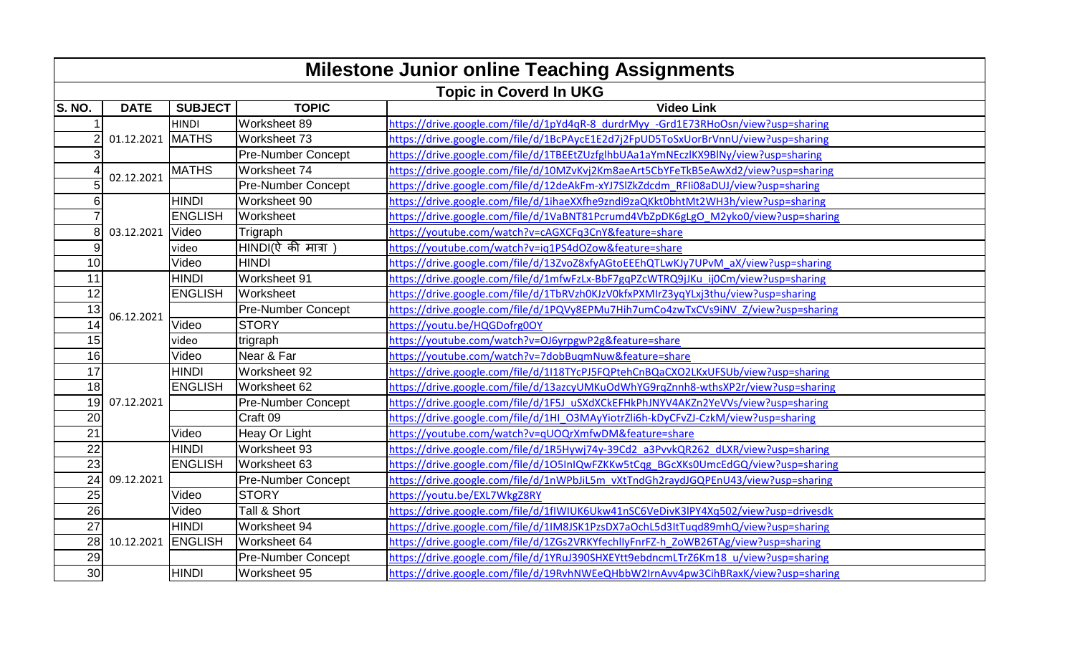| <b>Milestone Junior online Teaching Assignments</b> |                                    |                |                                           |                                                                                     |  |  |  |  |
|-----------------------------------------------------|------------------------------------|----------------|-------------------------------------------|-------------------------------------------------------------------------------------|--|--|--|--|
| <b>Topic in Coverd In UKG</b>                       |                                    |                |                                           |                                                                                     |  |  |  |  |
| S. NO.                                              | <b>DATE</b>                        | <b>SUBJECT</b> | <b>TOPIC</b>                              | <b>Video Link</b>                                                                   |  |  |  |  |
|                                                     | $\overline{2}$<br>01.12.2021 MATHS | <b>HINDI</b>   | Worksheet 89                              | https://drive.google.com/file/d/1pYd4qR-8_durdrMyy_-Grd1E73RHoOsn/view?usp=sharing  |  |  |  |  |
|                                                     |                                    |                | Worksheet 73                              | https://drive.google.com/file/d/1BcPAycE1E2d7j2FpUD5ToSxUorBrVnnU/view?usp=sharing  |  |  |  |  |
|                                                     |                                    |                | <b>Pre-Number Concept</b>                 | https://drive.google.com/file/d/1TBEEtZUzfglhbUAa1aYmNEczlKX9BlNy/view?usp=sharing  |  |  |  |  |
|                                                     | 02.12.2021                         | <b>MATHS</b>   | Worksheet 74                              | https://drive.google.com/file/d/10MZvKvj2Km8aeArt5CbYFeTkB5eAwXd2/view?usp=sharing  |  |  |  |  |
|                                                     |                                    |                | <b>Pre-Number Concept</b>                 | https://drive.google.com/file/d/12deAkFm-xYJ7SlZkZdcdm RFIi08aDUJ/view?usp=sharing  |  |  |  |  |
| 6                                                   |                                    | <b>HINDI</b>   | Worksheet 90                              | https://drive.google.com/file/d/1ihaeXXfhe9zndi9zaQKkt0bhtMt2WH3h/view?usp=sharing  |  |  |  |  |
|                                                     |                                    | <b>ENGLISH</b> | <b>Worksheet</b>                          | https://drive.google.com/file/d/1VaBNT81Pcrumd4VbZpDK6gLgO M2yko0/view?usp=sharing  |  |  |  |  |
| 8                                                   | 03.12.2021                         | Video          | Trigraph                                  | https://youtube.com/watch?v=cAGXCFq3CnY&feature=share                               |  |  |  |  |
| 9                                                   |                                    | video          | $HINDI(\n{\mathfrak{d}} \nabla)$ मात्रा ) | https://youtube.com/watch?v=ig1PS4dOZow&feature=share                               |  |  |  |  |
| 10                                                  |                                    | Video          | <b>HINDI</b>                              | https://drive.google.com/file/d/13ZvoZ8xfyAGtoEEEhQTLwKJy7UPvM aX/view?usp=sharing  |  |  |  |  |
| 11                                                  | 06.12.2021                         | <b>HINDI</b>   | Worksheet 91                              | https://drive.google.com/file/d/1mfwFzLx-BbF7gqPZcWTRQ9jJKu ij0Cm/view?usp=sharing  |  |  |  |  |
| 12                                                  |                                    | <b>ENGLISH</b> | <b>Worksheet</b>                          | https://drive.google.com/file/d/1TbRVzh0KJzV0kfxPXMIrZ3yqYLxj3thu/view?usp=sharing  |  |  |  |  |
| $\overline{13}$                                     |                                    |                | <b>Pre-Number Concept</b>                 | https://drive.google.com/file/d/1PQVy8EPMu7Hih7umCo4zwTxCVs9iNV_Z/view?usp=sharing  |  |  |  |  |
| $\overline{14}$                                     |                                    | Video          | <b>STORY</b>                              | https://youtu.be/HQGDofrg0OY                                                        |  |  |  |  |
| 15                                                  |                                    | video          | trigraph                                  | https://youtube.com/watch?v=OJ6yrpgwP2g&feature=share                               |  |  |  |  |
| $\overline{16}$                                     |                                    | Video          | Near & Far                                | https://youtube.com/watch?v=7dobBuqmNuw&feature=share                               |  |  |  |  |
| 17                                                  |                                    | <b>HINDI</b>   | Worksheet 92                              | https://drive.google.com/file/d/1I18TYcPJ5FQPtehCnBQaCXO2LKxUFSUb/view?usp=sharing  |  |  |  |  |
| $\overline{18}$                                     | 07.12.2021                         | <b>ENGLISH</b> | Worksheet 62                              | https://drive.google.com/file/d/13azcyUMKuOdWhYG9rqZnnh8-wthsXP2r/view?usp=sharing  |  |  |  |  |
| $\overline{19}$                                     |                                    |                | <b>Pre-Number Concept</b>                 | https://drive.google.com/file/d/1F5J_uSXdXCkEFHkPhJNYV4AKZn2YeVVs/view?usp=sharing  |  |  |  |  |
| 20                                                  |                                    |                | Craft 09                                  | https://drive.google.com/file/d/1HI_03MAyYiotrZli6h-kDyCFvZJ-CzkM/view?usp=sharing  |  |  |  |  |
| $\overline{21}$                                     |                                    | Video          | Heay Or Light                             | https://youtube.com/watch?v=qUOQrXmfwDM&feature=share                               |  |  |  |  |
| 22                                                  |                                    | <b>HINDI</b>   | Worksheet 93                              | https://drive.google.com/file/d/1R5Hywj74y-39Cd2 a3PvvkQR262 dLXR/view?usp=sharing  |  |  |  |  |
| 23                                                  | 09.12.2021                         | <b>ENGLISH</b> | Worksheet 63                              | https://drive.google.com/file/d/105InIQwFZKKw5tCqg_BGcXKs0UmcEdGQ/view?usp=sharing  |  |  |  |  |
| $\overline{24}$                                     |                                    |                | <b>Pre-Number Concept</b>                 | https://drive.google.com/file/d/1nWPbJiL5m vXtTndGh2raydJGQPEnU43/view?usp=sharing  |  |  |  |  |
| 25                                                  |                                    | Video          | <b>STORY</b>                              | https://youtu.be/EXL7WkgZ8RY                                                        |  |  |  |  |
| 26                                                  |                                    | Video          | Tall & Short                              | https://drive.google.com/file/d/1flWIUK6Ukw41nSC6VeDivK3lPY4Xq502/view?usp=drivesdk |  |  |  |  |
| $\overline{27}$                                     | 10.12.2021 ENGLISH                 | <b>HINDI</b>   | Worksheet 94                              | https://drive.google.com/file/d/1IM8JSK1PzsDX7aOchL5d3ItTuqd89mhQ/view?usp=sharing  |  |  |  |  |
| 28                                                  |                                    |                | Worksheet 64                              | https://drive.google.com/file/d/1ZGs2VRKYfechlIyFnrFZ-h ZoWB26TAg/view?usp=sharing  |  |  |  |  |
| $\overline{29}$                                     |                                    |                | <b>Pre-Number Concept</b>                 | https://drive.google.com/file/d/1YRuJ390SHXEYtt9ebdncmLTrZ6Km18_u/view?usp=sharing  |  |  |  |  |
| 30                                                  |                                    | <b>HINDI</b>   | Worksheet 95                              | https://drive.google.com/file/d/19RvhNWEeQHbbW2IrnAvv4pw3CihBRaxK/view?usp=sharing  |  |  |  |  |